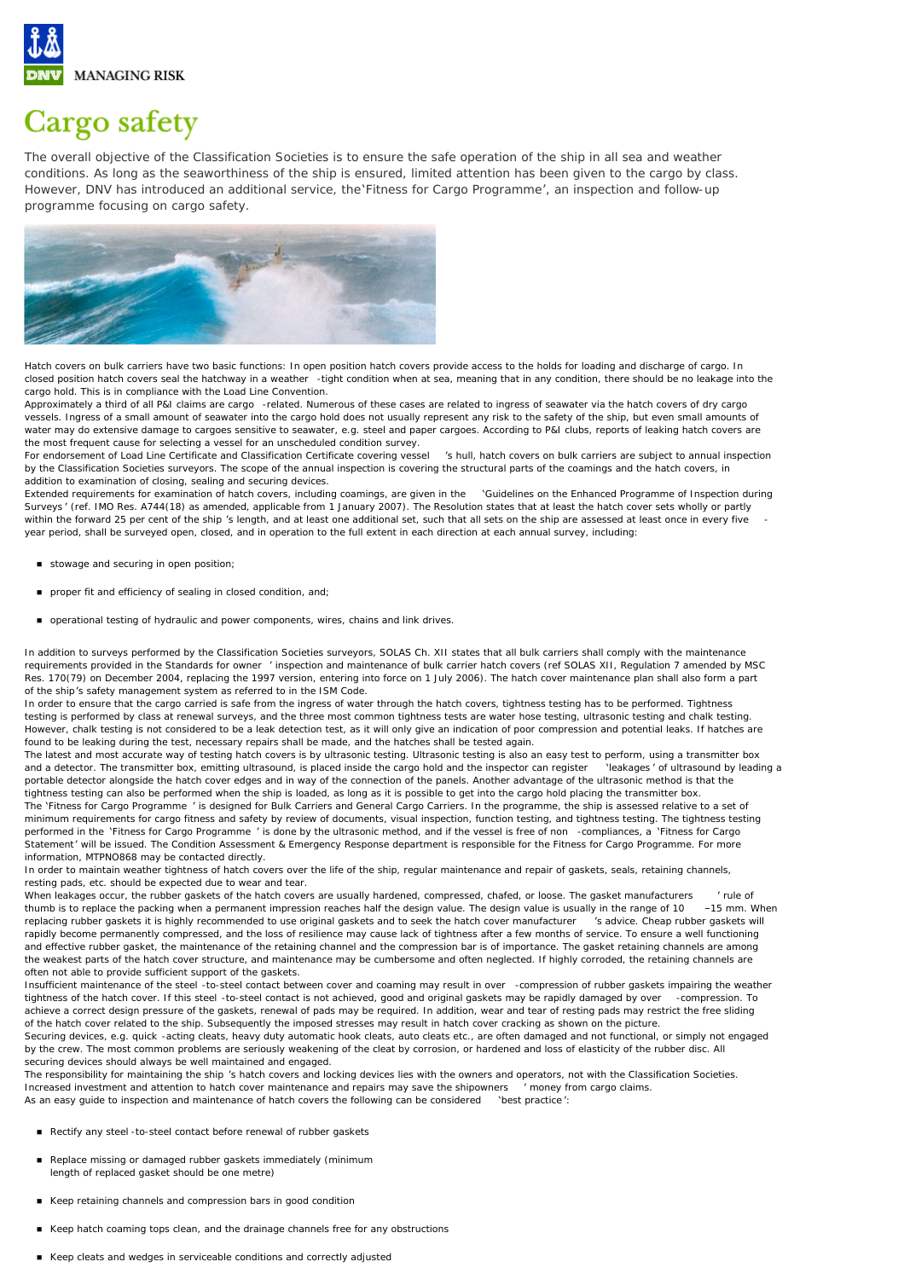

## Cargo safety

The overall objective of the Classification Societies is to ensure the safe operation of the ship in all sea and weather conditions. As long as the seaworthiness of the ship is ensured, limited attention has been given to the cargo by class. However, DNV has introduced an additional service, the 'Fitness for Cargo Programme', an inspection and follow-up programme focusing on cargo safety.



Hatch covers on bulk carriers have two basic functions: In open position hatch covers provide access to the holds for loading and discharge of cargo. In closed position hatch covers seal the hatchway in a weather -tight condition when at sea, meaning that in any condition, there should be no leakage into the cargo hold. This is in compliance with the Load Line Convention.

Approximately a third of all P&I claims are cargo -related. Numerous of these cases are related to ingress of seawater via the hatch covers of dry cargo vessels. Ingress of a small amount of seawater into the cargo hold does not usually represent any risk to the safety of the ship, but even small amounts of water may do extensive damage to cargoes sensitive to seawater, e.g. steel and paper cargoes. According to P&I clubs, reports of leaking hatch covers are the most frequent cause for selecting a vessel for an unscheduled condition survey.

For endorsement of Load Line Certificate and Classification Certificate covering vessel 's hull, hatch covers on bulk carriers are subject to annual inspection by the Classification Societies surveyors. The scope of the annual inspection is covering the structural parts of the coamings and the hatch covers, in addition to examination of closing, sealing and securing devices.

Extended requirements for examination of hatch covers, including coamings, are given in the 'Guidelines on the Enhanced Programme of Inspection during Surveys ' (ref. IMO Res. A744(18) as amended, applicable from 1 January 2007). The Resolution states that at least the hatch cover sets wholly or partly within the forward 25 per cent of the ship 's length, and at least one additional set, such that all sets on the ship are assessed at least once in every five year period, shall be surveyed open, closed, and in operation to the full extent in each direction at each annual survey, including:

- stowage and securing in open position;
- n proper fit and efficiency of sealing in closed condition, and;
- n operational testing of hydraulic and power components, wires, chains and link drives.

In addition to surveys performed by the Classification Societies surveyors, SOLAS Ch. XII states that all bulk carriers shall comply with the maintenance requirements provided in the Standards for owner ' inspection and maintenance of bulk carrier hatch covers (ref SOLAS XII, Regulation 7 amended by MSC Res. 170(79) on December 2004, replacing the 1997 version, entering into force on 1 July 2006). The hatch cover maintenance plan shall also form a part of the ship's safety management system as referred to in the ISM Code.

In order to ensure that the cargo carried is safe from the ingress of water through the hatch covers, tightness testing has to be performed. Tightness testing is performed by class at renewal surveys, and the three most common tightness tests are water hose testing, ultrasonic testing and chalk testing. However, chalk testing is not considered to be a leak detection test, as it will only give an indication of poor compression and potential leaks. If hatches are found to be leaking during the test, necessary repairs shall be made, and the hatches shall be tested again.

The latest and most accurate way of testing hatch covers is by ultrasonic testing. Ultrasonic testing is also an easy test to perform, using a transmitter box and a detector. The transmitter box, emitting ultrasound, is placed inside the cargo hold and the inspector can register 'leakages ' of ultrasound by leading a portable detector alongside the hatch cover edges and in way of the connection of the panels. Another advantage of the ultrasonic method is that the tightness testing can also be performed when the ship is loaded, as long as it is possible to get into the cargo hold placing the transmitter box.

The 'Fitness for Cargo Programme ' is designed for Bulk Carriers and General Cargo Carriers. In the programme, the ship is assessed relative to a set of minimum requirements for cargo fitness and safety by review of documents, visual inspection, function testing, and tightness testing. The tightness testing performed in the 'Fitness for Cargo Programme ' is done by the ultrasonic method, and if the vessel is free of non -compliances, a 'Fitness for Cargo Statement' will be issued. The Condition Assessment & Emergency Response department is responsible for the Fitness for Cargo Programme. For more information, MTPNO868 may be contacted directly.

In order to maintain weather tightness of hatch covers over the life of the ship, regular maintenance and repair of gaskets, seals, retaining channels, resting pads, etc. should be expected due to wear and tear.

When leakages occur, the rubber gaskets of the hatch covers are usually hardened, compressed, chafed, or loose. The gasket manufacturers ' rule of thumb is to replace the packing when a permanent impression reaches half the design value. The design value is usually in the range of 10 -15 mm. When replacing rubber gaskets it is highly recommended to use original gaske replacing rubber gaskets it is highly recommended to use original gaskets and to seek the hatch cover manufacturer rapidly become permanently compressed, and the loss of resilience may cause lack of tightness after a few months of service. To ensure a well functioning and effective rubber gasket, the maintenance of the retaining channel and the compression bar is of importance. The gasket retaining channels are among the weakest parts of the hatch cover structure, and maintenance may be cumbersome and often neglected. If highly corroded, the retaining channels are often not able to provide sufficient support of the gaskets.

Insufficient maintenance of the steel -to-steel contact between cover and coaming may result in over -compression of rubber gaskets impairing the weather<br>tightness of the hatch cover. If this steel -to-steel contact is not tightness of the hatch cover. If this steel -to-steel contact is not achieved, good and original gaskets may be rapidly damaged by over achieve a correct design pressure of the gaskets, renewal of pads may be required. In addition, wear and tear of resting pads may restrict the free sliding of the hatch cover related to the ship. Subsequently the imposed stresses may result in hatch cover cracking as shown on the picture.

Securing devices, e.g. quick -acting cleats, heavy duty automatic hook cleats, auto cleats etc., are often damaged and not functional, or simply not engaged by the crew. The most common problems are seriously weakening of the cleat by corrosion, or hardened and loss of elasticity of the rubber disc. All securing devices should always be well maintained and engaged.

The responsibility for maintaining the ship 's hatch covers and locking devices lies with the owners and operators, not with the Classification Societies. Increased investment and attention to hatch cover maintenance and repairs may save the shipowners ' money from cargo claims. As an easy guide to inspection and maintenance of hatch covers the following can be considered 'best practice ':

- Rectify any steel -to-steel contact before renewal of rubber gaskets
- Replace missing or damaged rubber gaskets immediately (minimum length of replaced gasket should be one metre)
- Keep retaining channels and compression bars in good condition
- n Keep hatch coaming tops clean, and the drainage channels free for any obstructions
- Keep cleats and wedges in serviceable conditions and correctly adjusted